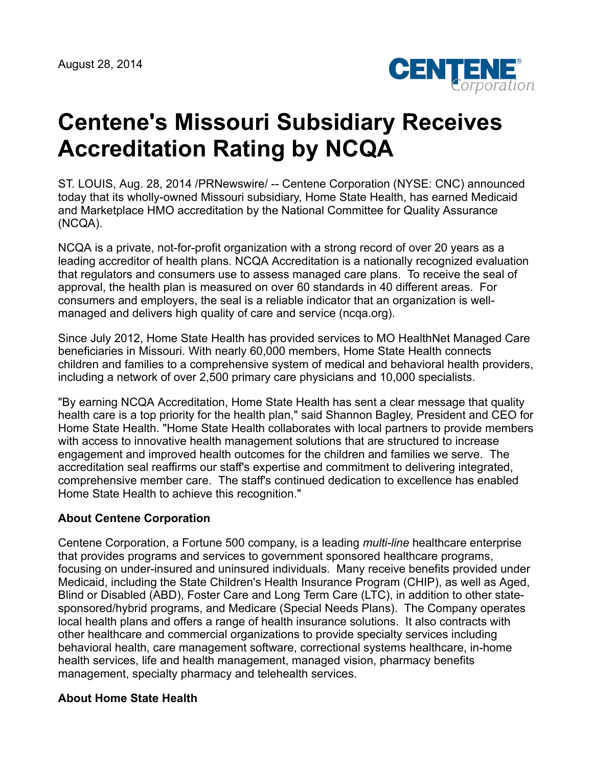

## **Centene's Missouri Subsidiary Receives Accreditation Rating by NCQA**

ST. LOUIS, Aug. 28, 2014 /PRNewswire/ -- Centene Corporation (NYSE: CNC) announced today that its wholly-owned Missouri subsidiary, Home State Health, has earned Medicaid and Marketplace HMO accreditation by the National Committee for Quality Assurance (NCQA).

NCQA is a private, not-for-profit organization with a strong record of over 20 years as a leading accreditor of health plans. NCQA Accreditation is a nationally recognized evaluation that regulators and consumers use to assess managed care plans. To receive the seal of approval, the health plan is measured on over 60 standards in 40 different areas. For consumers and employers, the seal is a reliable indicator that an organization is wellmanaged and delivers high quality of care and service (ncqa.org).

Since July 2012, Home State Health has provided services to MO HealthNet Managed Care beneficiaries in Missouri. With nearly 60,000 members, Home State Health connects children and families to a comprehensive system of medical and behavioral health providers, including a network of over 2,500 primary care physicians and 10,000 specialists.

"By earning NCQA Accreditation, Home State Health has sent a clear message that quality health care is a top priority for the health plan," said Shannon Bagley, President and CEO for Home State Health. "Home State Health collaborates with local partners to provide members with access to innovative health management solutions that are structured to increase engagement and improved health outcomes for the children and families we serve. The accreditation seal reaffirms our staff's expertise and commitment to delivering integrated, comprehensive member care. The staff's continued dedication to excellence has enabled Home State Health to achieve this recognition."

## **About Centene Corporation**

Centene Corporation, a Fortune 500 company, is a leading *multi-line* healthcare enterprise that provides programs and services to government sponsored healthcare programs, focusing on under-insured and uninsured individuals. Many receive benefits provided under Medicaid, including the State Children's Health Insurance Program (CHIP), as well as Aged, Blind or Disabled (ABD), Foster Care and Long Term Care (LTC), in addition to other statesponsored/hybrid programs, and Medicare (Special Needs Plans). The Company operates local health plans and offers a range of health insurance solutions. It also contracts with other healthcare and commercial organizations to provide specialty services including behavioral health, care management software, correctional systems healthcare, in-home health services, life and health management, managed vision, pharmacy benefits management, specialty pharmacy and telehealth services.

## **About Home State Health**